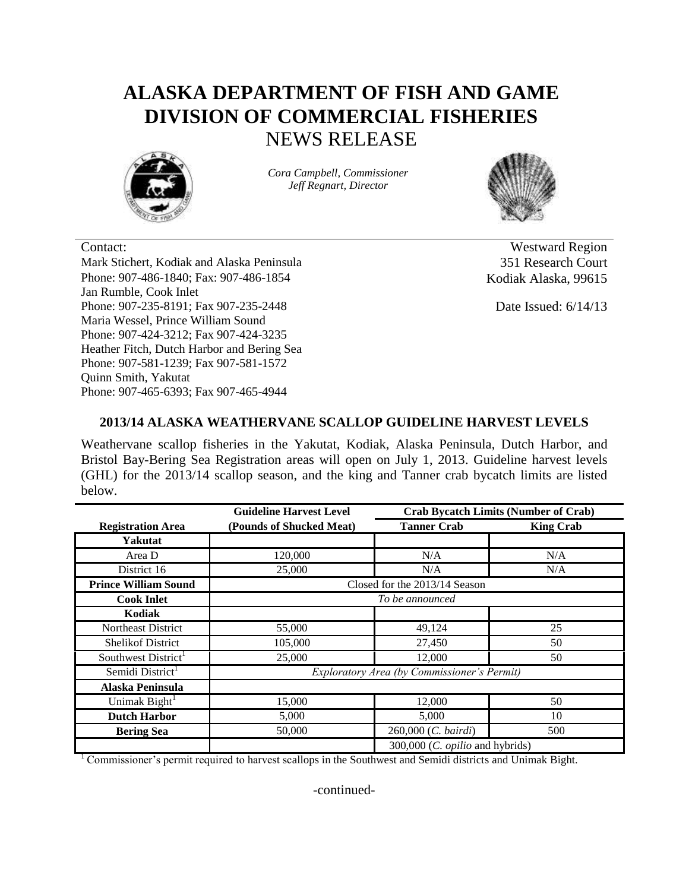## **ALASKA DEPARTMENT OF FISH AND GAME DIVISION OF COMMERCIAL FISHERIES** NEWS RELEASE



*Cora Campbell, Commissioner Jeff Regnart, Director*



Mark Stichert, Kodiak and Alaska Peninsula 351 Research Court Phone: 907-486-1840; Fax: 907-486-1854 Jan Rumble, Cook Inlet Phone: 907-235-8191; Fax 907-235-2448 Maria Wessel, Prince William Sound Phone: 907-424-3212; Fax 907-424-3235 Heather Fitch, Dutch Harbor and Bering Sea Phone: 907-581-1239; Fax 907-581-1572 Quinn Smith, Yakutat Phone: 907-465-6393; Fax 907-465-4944

Contact: Westward Region Kodiak Alaska, 99615

Date Issued: 6/14/13

## **2013/14 ALASKA WEATHERVANE SCALLOP GUIDELINE HARVEST LEVELS**

Weathervane scallop fisheries in the Yakutat, Kodiak, Alaska Peninsula, Dutch Harbor, and Bristol Bay-Bering Sea Registration areas will open on July 1, 2013. Guideline harvest levels (GHL) for the 2013/14 scallop season, and the king and Tanner crab bycatch limits are listed below.

|                              | <b>Guideline Harvest Level</b>              | <b>Crab Bycatch Limits (Number of Crab)</b> |                  |
|------------------------------|---------------------------------------------|---------------------------------------------|------------------|
| <b>Registration Area</b>     | (Pounds of Shucked Meat)                    | <b>Tanner Crab</b>                          | <b>King Crab</b> |
| Yakutat                      |                                             |                                             |                  |
| Area D                       | 120,000                                     | N/A                                         | N/A              |
| District 16                  | 25,000                                      | N/A                                         | N/A              |
| <b>Prince William Sound</b>  | Closed for the 2013/14 Season               |                                             |                  |
| <b>Cook Inlet</b>            | To be announced                             |                                             |                  |
| Kodiak                       |                                             |                                             |                  |
| Northeast District           | 55,000                                      | 49,124                                      | 25               |
| <b>Shelikof District</b>     | 105,000                                     | 27,450                                      | 50               |
| Southwest District           | 25,000                                      | 12,000                                      | 50               |
| Semidi District <sup>1</sup> | Exploratory Area (by Commissioner's Permit) |                                             |                  |
| Alaska Peninsula             |                                             |                                             |                  |
| Unimak Bight <sup>1</sup>    | 15,000                                      | 12,000                                      | 50               |
| <b>Dutch Harbor</b>          | 5,000                                       | 5,000                                       | 10               |
| <b>Bering Sea</b>            | 50,000                                      | 260,000 (C. bairdi)                         | 500              |
|                              |                                             | 300,000 (C. opilio and hybrids)             |                  |

<sup>1</sup> Commissioner's permit required to harvest scallops in the Southwest and Semidi districts and Unimak Bight.

-continued-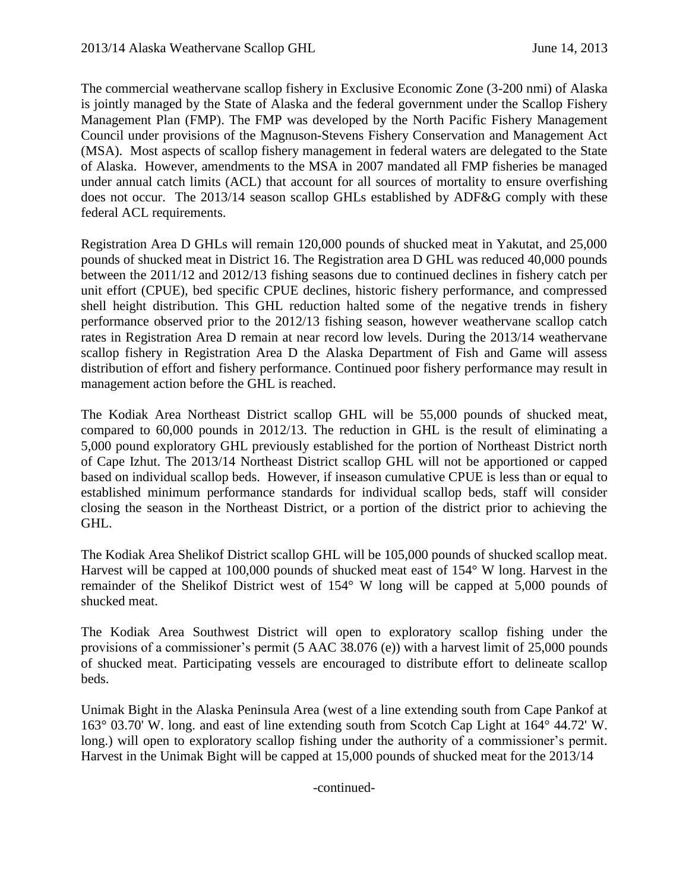The commercial weathervane scallop fishery in Exclusive Economic Zone (3-200 nmi) of Alaska is jointly managed by the State of Alaska and the federal government under the Scallop Fishery Management Plan (FMP). The FMP was developed by the North Pacific Fishery Management Council under provisions of the Magnuson-Stevens Fishery Conservation and Management Act (MSA). Most aspects of scallop fishery management in federal waters are delegated to the State of Alaska. However, amendments to the MSA in 2007 mandated all FMP fisheries be managed under annual catch limits (ACL) that account for all sources of mortality to ensure overfishing does not occur. The 2013/14 season scallop GHLs established by ADF&G comply with these federal ACL requirements.

Registration Area D GHLs will remain 120,000 pounds of shucked meat in Yakutat, and 25,000 pounds of shucked meat in District 16. The Registration area D GHL was reduced 40,000 pounds between the 2011/12 and 2012/13 fishing seasons due to continued declines in fishery catch per unit effort (CPUE), bed specific CPUE declines, historic fishery performance, and compressed shell height distribution. This GHL reduction halted some of the negative trends in fishery performance observed prior to the 2012/13 fishing season, however weathervane scallop catch rates in Registration Area D remain at near record low levels. During the 2013/14 weathervane scallop fishery in Registration Area D the Alaska Department of Fish and Game will assess distribution of effort and fishery performance. Continued poor fishery performance may result in management action before the GHL is reached.

The Kodiak Area Northeast District scallop GHL will be 55,000 pounds of shucked meat, compared to 60,000 pounds in 2012/13. The reduction in GHL is the result of eliminating a 5,000 pound exploratory GHL previously established for the portion of Northeast District north of Cape Izhut. The 2013/14 Northeast District scallop GHL will not be apportioned or capped based on individual scallop beds. However, if inseason cumulative CPUE is less than or equal to established minimum performance standards for individual scallop beds, staff will consider closing the season in the Northeast District, or a portion of the district prior to achieving the GHL.

The Kodiak Area Shelikof District scallop GHL will be 105,000 pounds of shucked scallop meat. Harvest will be capped at 100,000 pounds of shucked meat east of 154° W long. Harvest in the remainder of the Shelikof District west of 154° W long will be capped at 5,000 pounds of shucked meat.

The Kodiak Area Southwest District will open to exploratory scallop fishing under the provisions of a commissioner's permit (5 AAC 38.076 (e)) with a harvest limit of 25,000 pounds of shucked meat. Participating vessels are encouraged to distribute effort to delineate scallop beds.

Unimak Bight in the Alaska Peninsula Area (west of a line extending south from Cape Pankof at 163° 03.70' W. long. and east of line extending south from Scotch Cap Light at 164° 44.72' W. long.) will open to exploratory scallop fishing under the authority of a commissioner's permit. Harvest in the Unimak Bight will be capped at 15,000 pounds of shucked meat for the 2013/14

-continued-